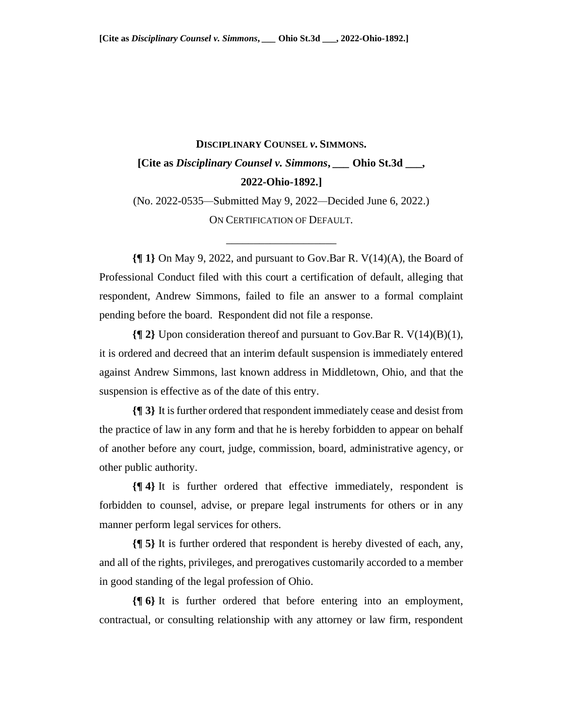## **DISCIPLINARY COUNSEL** *v***. SIMMONS. [Cite as** *Disciplinary Counsel v. Simmons***,** *\_\_\_* **Ohio St.3d \_\_\_, 2022-Ohio-1892.]**

(No. 2022-0535*—*Submitted May 9, 2022*—*Decided June 6, 2022.) ON CERTIFICATION OF DEFAULT.

\_\_\_\_\_\_\_\_\_\_\_\_\_\_\_\_\_\_\_\_

**{¶ 1}** On May 9, 2022, and pursuant to Gov.Bar R. V(14)(A), the Board of Professional Conduct filed with this court a certification of default, alleging that respondent, Andrew Simmons, failed to file an answer to a formal complaint pending before the board. Respondent did not file a response.

**{¶ 2}** Upon consideration thereof and pursuant to Gov.Bar R. V(14)(B)(1), it is ordered and decreed that an interim default suspension is immediately entered against Andrew Simmons, last known address in Middletown, Ohio, and that the suspension is effective as of the date of this entry.

**{¶ 3}** It is further ordered that respondent immediately cease and desist from the practice of law in any form and that he is hereby forbidden to appear on behalf of another before any court, judge, commission, board, administrative agency, or other public authority.

**{¶ 4}** It is further ordered that effective immediately, respondent is forbidden to counsel, advise, or prepare legal instruments for others or in any manner perform legal services for others.

**{¶ 5}** It is further ordered that respondent is hereby divested of each, any, and all of the rights, privileges, and prerogatives customarily accorded to a member in good standing of the legal profession of Ohio.

**{¶ 6}** It is further ordered that before entering into an employment, contractual, or consulting relationship with any attorney or law firm, respondent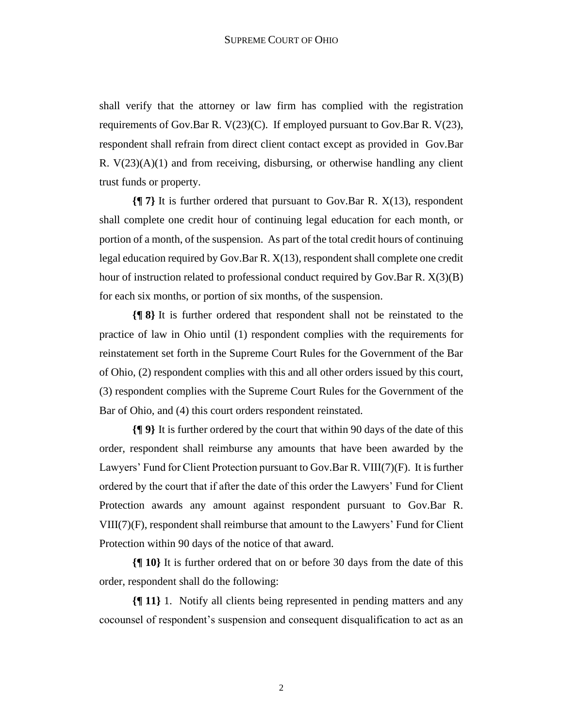shall verify that the attorney or law firm has complied with the registration requirements of Gov.Bar R.  $V(23)(C)$ . If employed pursuant to Gov.Bar R.  $V(23)$ , respondent shall refrain from direct client contact except as provided in Gov.Bar R.  $V(23)(A)(1)$  and from receiving, disbursing, or otherwise handling any client trust funds or property.

**{¶ 7}** It is further ordered that pursuant to Gov.Bar R. X(13), respondent shall complete one credit hour of continuing legal education for each month, or portion of a month, of the suspension. As part of the total credit hours of continuing legal education required by Gov.Bar R. X(13), respondent shall complete one credit hour of instruction related to professional conduct required by Gov.Bar R. X(3)(B) for each six months, or portion of six months, of the suspension.

**{¶ 8}** It is further ordered that respondent shall not be reinstated to the practice of law in Ohio until (1) respondent complies with the requirements for reinstatement set forth in the Supreme Court Rules for the Government of the Bar of Ohio, (2) respondent complies with this and all other orders issued by this court, (3) respondent complies with the Supreme Court Rules for the Government of the Bar of Ohio, and (4) this court orders respondent reinstated.

**{¶ 9}** It is further ordered by the court that within 90 days of the date of this order, respondent shall reimburse any amounts that have been awarded by the Lawyers' Fund for Client Protection pursuant to Gov.Bar R. VIII(7)(F). It is further ordered by the court that if after the date of this order the Lawyers' Fund for Client Protection awards any amount against respondent pursuant to Gov.Bar R. VIII(7)(F), respondent shall reimburse that amount to the Lawyers' Fund for Client Protection within 90 days of the notice of that award.

**{¶ 10}** It is further ordered that on or before 30 days from the date of this order, respondent shall do the following:

**{¶ 11}** 1. Notify all clients being represented in pending matters and any cocounsel of respondent's suspension and consequent disqualification to act as an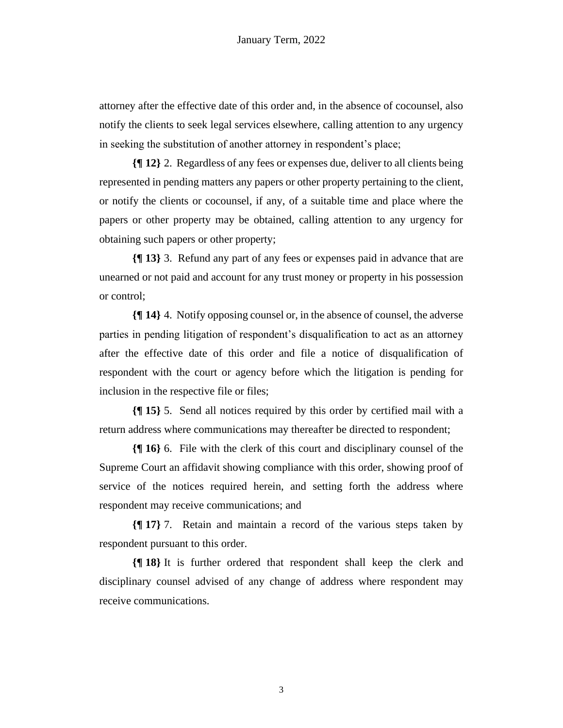attorney after the effective date of this order and, in the absence of cocounsel, also notify the clients to seek legal services elsewhere, calling attention to any urgency in seeking the substitution of another attorney in respondent's place;

**{¶ 12}** 2. Regardless of any fees or expenses due, deliver to all clients being represented in pending matters any papers or other property pertaining to the client, or notify the clients or cocounsel, if any, of a suitable time and place where the papers or other property may be obtained, calling attention to any urgency for obtaining such papers or other property;

**{¶ 13}** 3. Refund any part of any fees or expenses paid in advance that are unearned or not paid and account for any trust money or property in his possession or control;

**{¶ 14}** 4. Notify opposing counsel or, in the absence of counsel, the adverse parties in pending litigation of respondent's disqualification to act as an attorney after the effective date of this order and file a notice of disqualification of respondent with the court or agency before which the litigation is pending for inclusion in the respective file or files;

**{¶ 15}** 5. Send all notices required by this order by certified mail with a return address where communications may thereafter be directed to respondent;

**{¶ 16}** 6. File with the clerk of this court and disciplinary counsel of the Supreme Court an affidavit showing compliance with this order, showing proof of service of the notices required herein, and setting forth the address where respondent may receive communications; and

**{¶ 17}** 7. Retain and maintain a record of the various steps taken by respondent pursuant to this order.

**{¶ 18}** It is further ordered that respondent shall keep the clerk and disciplinary counsel advised of any change of address where respondent may receive communications.

3